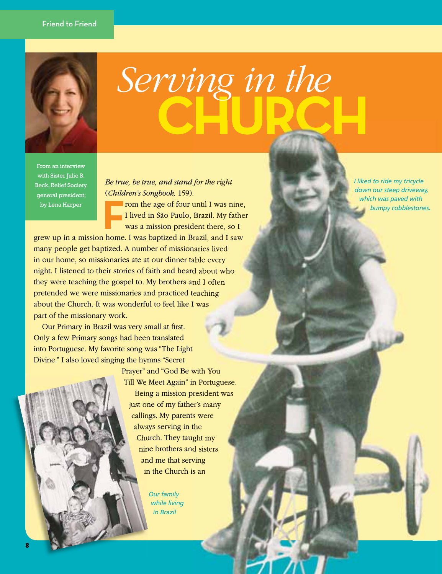

## **CHURCH**  $\begin{array}{c} \mathit{Server\_image} \ in \ \mathit{Server\_b} \ \mathit{end} \end{array}$ <br>  $\begin{array}{c} \mathit{true, be true, and stand for the right} \\ \mathit{filter's} \ \mathit{Songbook, 159}. \\ \mathit{form the age of four until I was nine,} \\ \mathit{I lived in São Paulo, Brazil. My father} \\ \mathit{was a mission president there, so I} \\ \mathit{ne. I was bapized in Brazil, and I saw} \end{array}$

From an interview with Sister Julie B. Beck, Relief Society general president; by Lena Harper

 *Be true, be true, and stand for the right*  ( *Children's Songbook,* 159).

From the age of four until I was nine,<br>
I lived in São Paulo, Brazil. My father<br>
was a mission president there, so I I lived in São Paulo, Brazil. My father was a mission president there, so I

grew up in a mission home. I was baptized in Brazil, and I saw many people get baptized. A number of missionaries lived in our home, so missionaries ate at our dinner table every night. I listened to their stories of faith and heard about who they were teaching the gospel to. My brothers and I often pretended we were missionaries and practiced teaching about the Church. It was wonderful to feel like I was part of the missionary work.

Our Primary in Brazil was very small at first. Only a few Primary songs had been translated into Portuguese. My favorite song was "The Light Divine." I also loved singing the hymns "Secret

> Prayer" and "God Be with You Till We Meet Again" in Portuguese. Being a mission president was just one of my father's many callings. My parents were always serving in the Church. They taught my nine brothers and sisters and me that serving in the Church is an

> > *Our family while living in Brazil*

*I liked to ride my tricycle down our steep driveway, which was paved with bumpy cobblestones.*